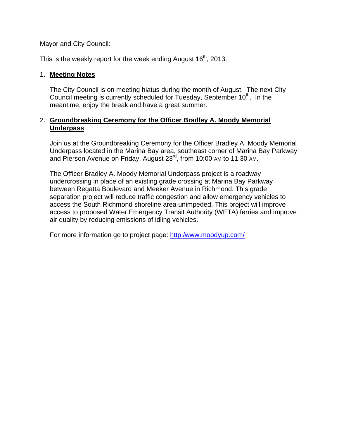Mayor and City Council:

This is the weekly report for the week ending August  $16<sup>th</sup>$ , 2013.

#### 1. **Meeting Notes**

The City Council is on meeting hiatus during the month of August. The next City Council meeting is currently scheduled for Tuesday, September 10<sup>th</sup>. In the meantime, enjoy the break and have a great summer.

#### 2. **Groundbreaking Ceremony for the Officer Bradley A. Moody Memorial Underpass**

Join us at the Groundbreaking Ceremony for the Officer Bradley A. Moody Memorial Underpass located in the Marina Bay area, southeast corner of Marina Bay Parkway and Pierson Avenue on Friday, August 23<sup>rd</sup>, from 10:00 AM to 11:30 AM.

The Officer Bradley A. Moody Memorial Underpass project is a roadway undercrossing in place of an existing grade crossing at Marina Bay Parkway between Regatta Boulevard and Meeker Avenue in Richmond. This grade separation project will reduce traffic congestion and allow emergency vehicles to access the South Richmond shoreline area unimpeded. This project will improve access to proposed Water Emergency Transit Authority (WETA) ferries and improve air quality by reducing emissions of idling vehicles.

For more information go to project page: http:/www.moodyup.com/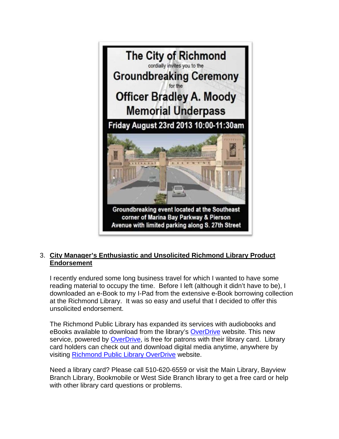

## 3. **City Manager's Enthusiastic and Unsolicited Richmond Library Product Endorsement**

I recently endured some long business travel for which I wanted to have some reading material to occupy the time. Before I left (although it didn't have to be), I downloaded an e-Book to my I-Pad from the extensive e-Book borrowing collection at the Richmond Library. It was so easy and useful that I decided to offer this unsolicited endorsement.

The Richmond Public Library has expanded its services with audiobooks and eBooks available to download from the library's OverDrive website. This new service, powered by OverDrive, is free for patrons with their library card. Library card holders can check out and download digital media anytime, anywhere by visiting Richmond Public Library OverDrive website.

Need a library card? Please call 510-620-6559 or visit the Main Library, Bayview Branch Library, Bookmobile or West Side Branch library to get a free card or help with other library card questions or problems.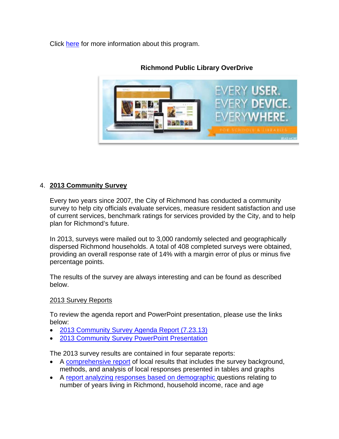Click here for more information about this program.



## **Richmond Public Library OverDrive**

# 4. **2013 Community Survey**

Every two years since 2007, the City of Richmond has conducted a community survey to help city officials evaluate services, measure resident satisfaction and use of current services, benchmark ratings for services provided by the City, and to help plan for Richmond's future.

In 2013, surveys were mailed out to 3,000 randomly selected and geographically dispersed Richmond households. A total of 408 completed surveys were obtained, providing an overall response rate of 14% with a margin error of plus or minus five percentage points.

The results of the survey are always interesting and can be found as described below.

#### 2013 Survey Reports

To review the agenda report and PowerPoint presentation, please use the links below:

- 2013 Community Survey Agenda Report (7.23.13)
- 2013 Community Survey PowerPoint Presentation

The 2013 survey results are contained in four separate reports:

- A comprehensive report of local results that includes the survey background, methods, and analysis of local responses presented in tables and graphs
- A report analyzing responses based on demographic questions relating to number of years living in Richmond, household income, race and age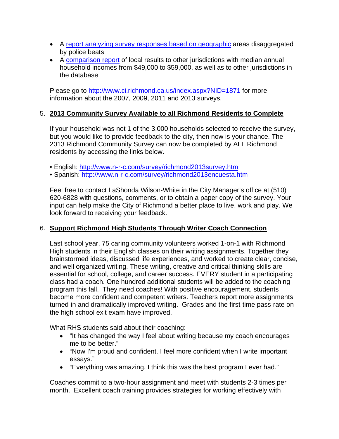- A report analyzing survey responses based on geographic areas disaggregated by police beats
- A comparison report of local results to other jurisdictions with median annual household incomes from \$49,000 to \$59,000, as well as to other jurisdictions in the database

Please go to http://www.ci.richmond.ca.us/index.aspx?NID=1871 for more information about the 2007, 2009, 2011 and 2013 surveys.

## 5. **2013 Community Survey Available to all Richmond Residents to Complete**

If your household was not 1 of the 3,000 households selected to receive the survey, but you would like to provide feedback to the city, then now is your chance. The 2013 Richmond Community Survey can now be completed by ALL Richmond residents by accessing the links below.

- English: http://www.n-r-c.com/survey/richmond2013survey.htm
- Spanish: http://www.n-r-c.com/survey/richmond2013encuesta.htm

Feel free to contact LaShonda Wilson-White in the City Manager's office at (510) 620-6828 with questions, comments, or to obtain a paper copy of the survey. Your input can help make the City of Richmond a better place to live, work and play. We look forward to receiving your feedback.

## 6. **Support Richmond High Students Through Writer Coach Connection**

Last school year, 75 caring community volunteers worked 1-on-1 with Richmond High students in their English classes on their writing assignments. Together they brainstormed ideas, discussed life experiences, and worked to create clear, concise, and well organized writing. These writing, creative and critical thinking skills are essential for school, college, and career success. EVERY student in a participating class had a coach. One hundred additional students will be added to the coaching program this fall. They need coaches! With positive encouragement, students become more confident and competent writers. Teachers report more assignments turned-in and dramatically improved writing. Grades and the first-time pass-rate on the high school exit exam have improved.

What RHS students said about their coaching:

- "It has changed the way I feel about writing because my coach encourages me to be better."
- "Now I'm proud and confident. I feel more confident when I write important essays."
- "Everything was amazing. I think this was the best program I ever had."

Coaches commit to a two-hour assignment and meet with students 2-3 times per month. Excellent coach training provides strategies for working effectively with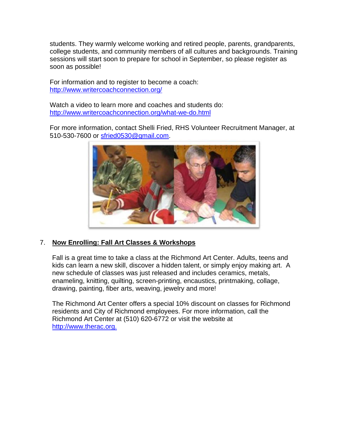students. They warmly welcome working and retired people, parents, grandparents, college students, and community members of all cultures and backgrounds. Training sessions will start soon to prepare for school in September, so please register as soon as possible!

For information and to register to become a coach: http://www.writercoachconnection.org/

Watch a video to learn more and coaches and students do: http://www.writercoachconnection.org/what-we-do.html

For more information, contact Shelli Fried, RHS Volunteer Recruitment Manager, at 510-530-7600 or sfried0530@gmail.com.



## 7. **Now Enrolling: Fall Art Classes & Workshops**

Fall is a great time to take a class at the Richmond Art Center. Adults, teens and kids can learn a new skill, discover a hidden talent, or simply enjoy making art. A new schedule of classes was just released and includes ceramics, metals, enameling, knitting, quilting, screen-printing, encaustics, printmaking, collage, drawing, painting, fiber arts, weaving, jewelry and more!

The Richmond Art Center offers a special 10% discount on classes for Richmond residents and City of Richmond employees. For more information, call the Richmond Art Center at (510) 620-6772 or visit the website at http://www.therac.org.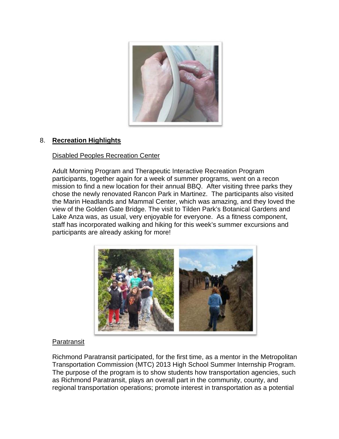

## 8. **Recreation Highlights**

#### Disabled Peoples Recreation Center

Adult Morning Program and Therapeutic Interactive Recreation Program participants, together again for a week of summer programs, went on a recon mission to find a new location for their annual BBQ. After visiting three parks they chose the newly renovated Rancon Park in Martinez. The participants also visited the Marin Headlands and Mammal Center, which was amazing, and they loved the view of the Golden Gate Bridge. The visit to Tilden Park's Botanical Gardens and Lake Anza was, as usual, very enjoyable for everyone. As a fitness component, staff has incorporated walking and hiking for this week's summer excursions and participants are already asking for more!



#### Paratransit

Richmond Paratransit participated, for the first time, as a mentor in the Metropolitan Transportation Commission (MTC) 2013 High School Summer Internship Program. The purpose of the program is to show students how transportation agencies, such as Richmond Paratransit, plays an overall part in the community, county, and regional transportation operations; promote interest in transportation as a potential